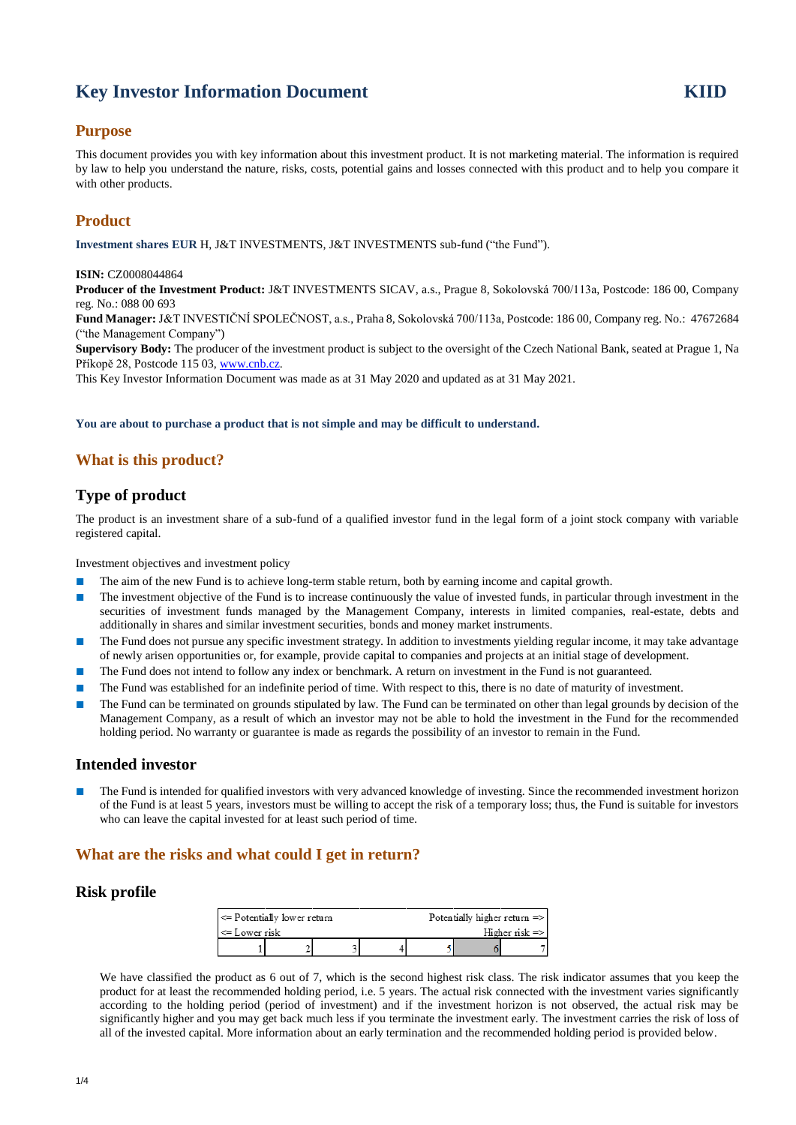# **Key Investor Information Document KIID**

### **Purpose**

This document provides you with key information about this investment product. It is not marketing material. The information is required by law to help you understand the nature, risks, costs, potential gains and losses connected with this product and to help you compare it with other products.

## **Product**

**Investment shares EUR** H, J&T INVESTMENTS, J&T INVESTMENTS sub-fund ("the Fund").

#### **ISIN:** CZ0008044864

**Producer of the Investment Product:** J&T INVESTMENTS SICAV, a.s., Prague 8, Sokolovská 700/113a, Postcode: 186 00, Company reg. No.: 088 00 693

**Fund Manager:** J&T INVESTIČNÍ SPOLEČNOST, a.s., Praha 8, Sokolovská 700/113a, Postcode: 186 00, Company reg. No.: 47672684 ("the Management Company")

**Supervisory Body:** The producer of the investment product is subject to the oversight of the Czech National Bank, seated at Prague 1, Na Příkopě 28, Postcode 115 03[, www.cnb.cz.](http://www.cnb.cz/) 

This Key Investor Information Document was made as at 31 May 2020 and updated as at 31 May 2021.

**You are about to purchase a product that is not simple and may be difficult to understand.**

## **What is this product?**

### **Type of product**

The product is an investment share of a sub-fund of a qualified investor fund in the legal form of a joint stock company with variable registered capital.

Investment objectives and investment policy

- The aim of the new Fund is to achieve long-term stable return, both by earning income and capital growth.
- The investment objective of the Fund is to increase continuously the value of invested funds, in particular through investment in the securities of investment funds managed by the Management Company, interests in limited companies, real-estate, debts and additionally in shares and similar investment securities, bonds and money market instruments.
- The Fund does not pursue any specific investment strategy. In addition to investments yielding regular income, it may take advantage of newly arisen opportunities or, for example, provide capital to companies and projects at an initial stage of development.
- The Fund does not intend to follow any index or benchmark. A return on investment in the Fund is not guaranteed.
- The Fund was established for an indefinite period of time. With respect to this, there is no date of maturity of investment.
- The Fund can be terminated on grounds stipulated by law. The Fund can be terminated on other than legal grounds by decision of the Management Company, as a result of which an investor may not be able to hold the investment in the Fund for the recommended holding period. No warranty or guarantee is made as regards the possibility of an investor to remain in the Fund.

### **Intended investor**

The Fund is intended for qualified investors with very advanced knowledge of investing. Since the recommended investment horizon of the Fund is at least 5 years, investors must be willing to accept the risk of a temporary loss; thus, the Fund is suitable for investors who can leave the capital invested for at least such period of time.

### **What are the risks and what could I get in return?**

### **Risk profile**

| $\leq$ Potentially lower return |  |  | Potentially higher return $\Rightarrow$ |  |  |  |
|---------------------------------|--|--|-----------------------------------------|--|--|--|
| <= Lower risk                   |  |  | Higher risk $\Rightarrow$               |  |  |  |
|                                 |  |  |                                         |  |  |  |

We have classified the product as 6 out of 7, which is the second highest risk class. The risk indicator assumes that you keep the product for at least the recommended holding period, i.e. 5 years. The actual risk connected with the investment varies significantly according to the holding period (period of investment) and if the investment horizon is not observed, the actual risk may be significantly higher and you may get back much less if you terminate the investment early. The investment carries the risk of loss of all of the invested capital. More information about an early termination and the recommended holding period is provided below.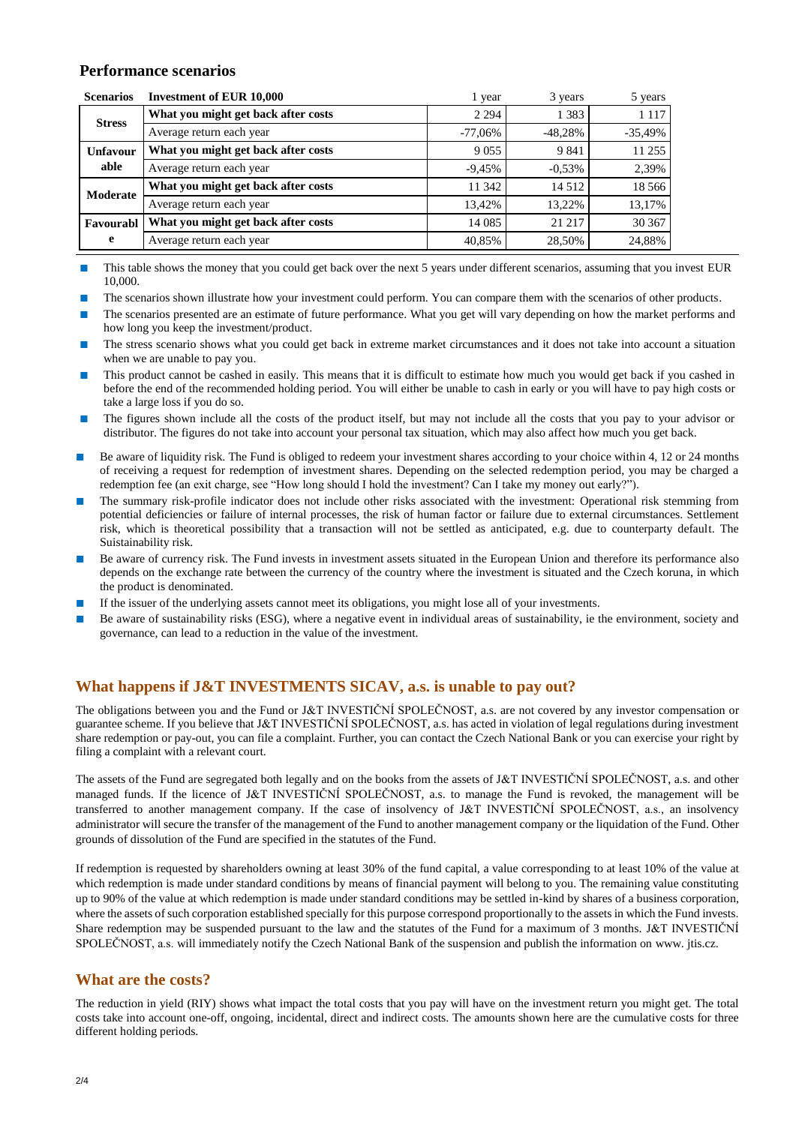#### **Performance scenarios**

| <b>Scenarios</b> | <b>Investment of EUR 10,000</b>     | l year    | 3 years   | 5 years   |
|------------------|-------------------------------------|-----------|-----------|-----------|
| <b>Stress</b>    | What you might get back after costs | 2 2 9 4   | 1 3 8 3   | 1 1 1 7   |
|                  | Average return each year            | $-77,06%$ | -48,28%   | $-35,49%$ |
| <b>Unfavour</b>  | What you might get back after costs | 9 0 5 5   | 9 8 4 1   | 11 255    |
| able             | Average return each year            | $-9,45%$  | $-0.53\%$ | 2,39%     |
| Moderate         | What you might get back after costs | 11 342    | 14 5 12   | 18 5 6 6  |
|                  | Average return each year            | 13,42%    | 13.22%    | 13,17%    |
| Favourabl        | What you might get back after costs | 14 0 85   | 21 217    | 30 367    |
| e                | Average return each year            | 40,85%    | 28,50%    | 24,88%    |

■ This table shows the money that you could get back over the next 5 years under different scenarios, assuming that you invest EUR 10,000.

- The scenarios shown illustrate how your investment could perform. You can compare them with the scenarios of other products.
- The scenarios presented are an estimate of future performance. What you get will vary depending on how the market performs and how long you keep the investment/product.
- The stress scenario shows what you could get back in extreme market circumstances and it does not take into account a situation when we are unable to pay you.
- This product cannot be cashed in easily. This means that it is difficult to estimate how much you would get back if you cashed in before the end of the recommended holding period. You will either be unable to cash in early or you will have to pay high costs or take a large loss if you do so.
- The figures shown include all the costs of the product itself, but may not include all the costs that you pay to your advisor or distributor. The figures do not take into account your personal tax situation, which may also affect how much you get back.
- Be aware of liquidity risk. The Fund is obliged to redeem your investment shares according to your choice within 4, 12 or 24 months of receiving a request for redemption of investment shares. Depending on the selected redemption period, you may be charged a redemption fee (an exit charge, see "How long should I hold the investment? Can I take my money out early?").
- The summary risk-profile indicator does not include other risks associated with the investment: Operational risk stemming from potential deficiencies or failure of internal processes, the risk of human factor or failure due to external circumstances. Settlement risk, which is theoretical possibility that a transaction will not be settled as anticipated, e.g. due to counterparty default. The Suistainability risk.
- Be aware of currency risk. The Fund invests in investment assets situated in the European Union and therefore its performance also depends on the exchange rate between the currency of the country where the investment is situated and the Czech koruna, in which the product is denominated.
- If the issuer of the underlying assets cannot meet its obligations, you might lose all of your investments.
- Be aware of sustainability risks (ESG), where a negative event in individual areas of sustainability, ie the environment, society and governance, can lead to a reduction in the value of the investment.

### **What happens if J&T INVESTMENTS SICAV, a.s. is unable to pay out?**

The obligations between you and the Fund or J&T INVESTIČNÍ SPOLEČNOST, a.s. are not covered by any investor compensation or guarantee scheme. If you believe that J&T INVESTIČNÍ SPOLEČNOST, a.s. has acted in violation of legal regulations during investment share redemption or pay-out, you can file a complaint. Further, you can contact the Czech National Bank or you can exercise your right by filing a complaint with a relevant court.

The assets of the Fund are segregated both legally and on the books from the assets of J&T INVESTIČNÍ SPOLEČNOST, a.s. and other managed funds. If the licence of J&T INVESTIČNÍ SPOLEČNOST, a.s. to manage the Fund is revoked, the management will be transferred to another management company. If the case of insolvency of J&T INVESTIČNÍ SPOLEČNOST, a.s., an insolvency administrator will secure the transfer of the management of the Fund to another management company or the liquidation of the Fund. Other grounds of dissolution of the Fund are specified in the statutes of the Fund.

If redemption is requested by shareholders owning at least 30% of the fund capital, a value corresponding to at least 10% of the value at which redemption is made under standard conditions by means of financial payment will belong to you. The remaining value constituting up to 90% of the value at which redemption is made under standard conditions may be settled in-kind by shares of a business corporation, where the assets of such corporation established specially for this purpose correspond proportionally to the assets in which the Fund invests. Share redemption may be suspended pursuant to the law and the statutes of the Fund for a maximum of 3 months. J&T INVESTIČNÍ SPOLEČNOST, a.s. will immediately notify the Czech National Bank of the suspension and publish the information on www. jtis.cz.

#### **What are the costs?**

The reduction in yield (RIY) shows what impact the total costs that you pay will have on the investment return you might get. The total costs take into account one-off, ongoing, incidental, direct and indirect costs. The amounts shown here are the cumulative costs for three different holding periods.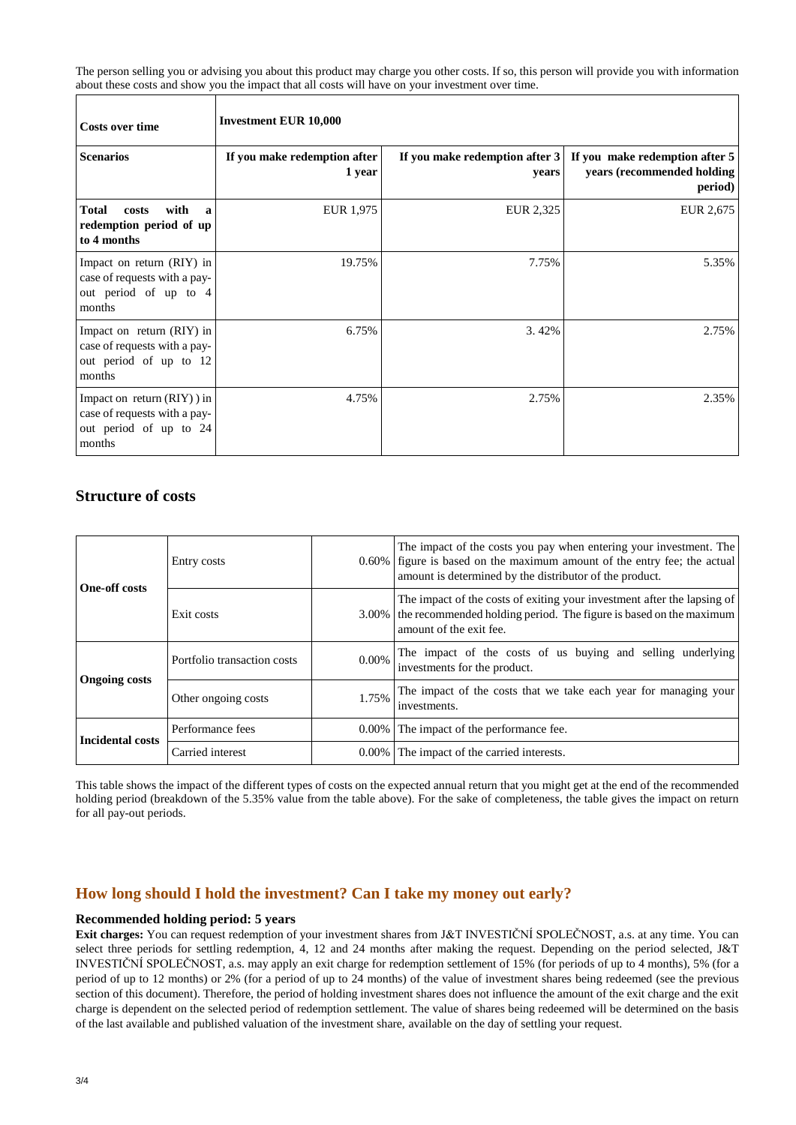The person selling you or advising you about this product may charge you other costs. If so, this person will provide you with information about these costs and show you the impact that all costs will have on your investment over time.

٦

| <b>Costs over time</b>                                                                            | <b>Investment EUR 10,000</b>           |                                         |                                                                         |  |  |  |
|---------------------------------------------------------------------------------------------------|----------------------------------------|-----------------------------------------|-------------------------------------------------------------------------|--|--|--|
| <b>Scenarios</b>                                                                                  | If you make redemption after<br>1 year | If you make redemption after 3<br>vears | If you make redemption after 5<br>years (recommended holding<br>period) |  |  |  |
| <b>Total</b><br>with<br>costs<br>a<br>redemption period of up<br>to 4 months                      | EUR 1,975                              | EUR 2,325                               | EUR 2,675                                                               |  |  |  |
| Impact on return (RIY) in<br>case of requests with a pay-<br>out period of up to 4<br>months      | 19.75%                                 | 7.75%                                   | 5.35%                                                                   |  |  |  |
| Impact on return (RIY) in<br>case of requests with a pay-<br>out period of up to 12<br>months     | 6.75%                                  | 3.42%                                   | 2.75%                                                                   |  |  |  |
| Impact on return $(RIY)$ ) in<br>case of requests with a pay-<br>out period of up to 24<br>months | 4.75%                                  | 2.75%                                   | 2.35%                                                                   |  |  |  |

### **Structure of costs**

 $\mathsf{r}$ 

| <b>One-off costs</b>    | Entry costs                 |          | The impact of the costs you pay when entering your investment. The<br>0.60% figure is based on the maximum amount of the entry fee; the actual<br>amount is determined by the distributor of the product. |  |  |
|-------------------------|-----------------------------|----------|-----------------------------------------------------------------------------------------------------------------------------------------------------------------------------------------------------------|--|--|
|                         | Exit costs                  |          | The impact of the costs of exiting your investment after the lapsing of<br>3.00% the recommended holding period. The figure is based on the maximum<br>amount of the exit fee.                            |  |  |
| <b>Ongoing costs</b>    | Portfolio transaction costs | $0.00\%$ | The impact of the costs of us buying and selling underlying<br>investments for the product.                                                                                                               |  |  |
|                         | Other ongoing costs         | 1.75%    | The impact of the costs that we take each year for managing your<br>investments.                                                                                                                          |  |  |
|                         | Performance fees            |          | 0.00% The impact of the performance fee.                                                                                                                                                                  |  |  |
| <b>Incidental costs</b> | Carried interest            |          | 0.00% The impact of the carried interests.                                                                                                                                                                |  |  |

This table shows the impact of the different types of costs on the expected annual return that you might get at the end of the recommended holding period (breakdown of the 5.35% value from the table above). For the sake of completeness, the table gives the impact on return for all pay-out periods.

### **How long should I hold the investment? Can I take my money out early?**

#### **Recommended holding period: 5 years**

**Exit charges:** You can request redemption of your investment shares from J&T INVESTIČNÍ SPOLEČNOST, a.s. at any time. You can select three periods for settling redemption, 4, 12 and 24 months after making the request. Depending on the period selected, J&T INVESTIČNÍ SPOLEČNOST, a.s. may apply an exit charge for redemption settlement of 15% (for periods of up to 4 months), 5% (for a period of up to 12 months) or 2% (for a period of up to 24 months) of the value of investment shares being redeemed (see the previous section of this document). Therefore, the period of holding investment shares does not influence the amount of the exit charge and the exit charge is dependent on the selected period of redemption settlement. The value of shares being redeemed will be determined on the basis of the last available and published valuation of the investment share, available on the day of settling your request.